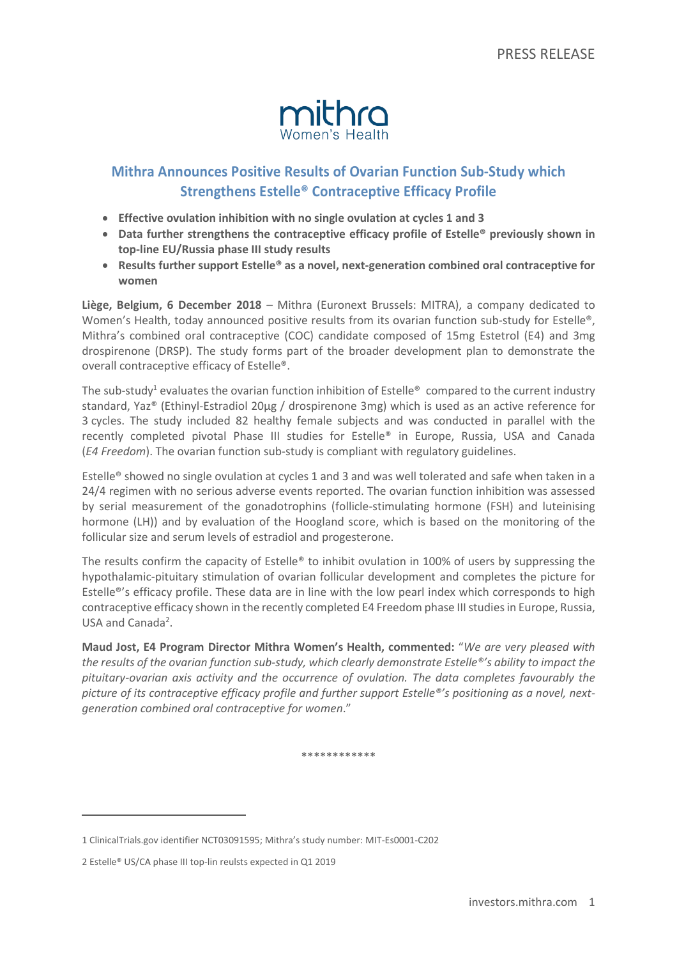

# **Mithra Announces Positive Results of Ovarian Function Sub-Study which Strengthens Estelle® Contraceptive Efficacy Profile**

- **Effective ovulation inhibition with no single ovulation at cycles 1 and 3**
- **Data further strengthens the contraceptive efficacy profile of Estelle® previously shown in top-line EU/Russia phase III study results**
- **Results further support Estelle® as a novel, next-generation combined oral contraceptive for women**

**Liège, Belgium, 6 December 2018** – Mithra (Euronext Brussels: MITRA), a company dedicated to Women's Health, today announced positive results from its ovarian function sub-study for Estelle®, Mithra's combined oral contraceptive (COC) candidate composed of 15mg Estetrol (E4) and 3mg drospirenone (DRSP). The study forms part of the broader development plan to demonstrate the overall contraceptive efficacy of Estelle®.

The sub-study<sup>1</sup> evaluates the ovarian function inhibition of Estelle<sup>®</sup> compared to the current industry standard, Yaz® (Ethinyl-Estradiol 20µg / drospirenone 3mg) which is used as an active reference for 3 cycles. The study included 82 healthy female subjects and was conducted in parallel with the recently completed pivotal Phase III studies for Estelle® in Europe, Russia, USA and Canada (*E4 Freedom*). The ovarian function sub-study is compliant with regulatory guidelines.

Estelle® showed no single ovulation at cycles 1 and 3 and was well tolerated and safe when taken in a 24/4 regimen with no serious adverse events reported. The ovarian function inhibition was assessed by serial measurement of the gonadotrophins (follicle-stimulating hormone (FSH) and luteinising hormone (LH)) and by evaluation of the Hoogland score, which is based on the monitoring of the follicular size and serum levels of estradiol and progesterone.

The results confirm the capacity of Estelle<sup>®</sup> to inhibit ovulation in 100% of users by suppressing the hypothalamic-pituitary stimulation of ovarian follicular development and completes the picture for Estelle®'s efficacy profile. These data are in line with the low pearl index which corresponds to high contraceptive efficacy shown in the recently completed E4 Freedom phase III studies in Europe, Russia, USA and Canada<sup>2</sup>.

**Maud Jost, E4 Program Director Mithra Women's Health, commented:** "*We are very pleased with the results of the ovarian function sub-study, which clearly demonstrate Estelle®'s ability to impact the pituitary-ovarian axis activity and the occurrence of ovulation. The data completes favourably the picture of its contraceptive efficacy profile and further support Estelle®'s positioning as a novel, nextgeneration combined oral contraceptive for women*."

\*\*\*\*\*\*\*\*\*\*\*\*

 $\overline{a}$ 

<sup>1</sup> ClinicalTrials.gov identifier NCT03091595; Mithra's study number: MIT-Es0001-C202

<sup>2</sup> Estelle® US/CA phase III top-lin reulsts expected in Q1 2019